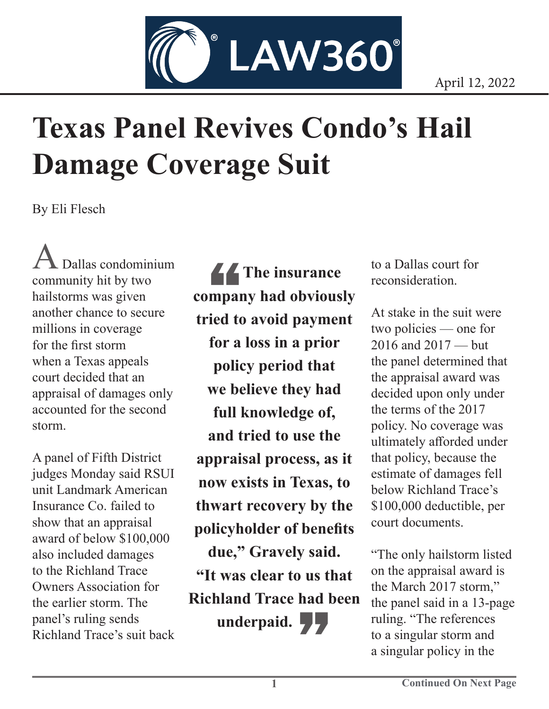

## **Texas Panel Revives Condo's Hail Damage Coverage Suit**

By Eli Flesch

Dallas condominium community hit by two hailstorms was given another chance to secure millions in coverage for the first storm when a Texas appeals court decided that an appraisal of damages only accounted for the second storm.

A panel of Fifth District judges Monday said RSUI unit Landmark American Insurance Co. failed to show that an appraisal award of below \$100,000 also included damages to the Richland Trace Owners Association for the earlier storm. The panel's ruling sends Richland Trace's suit back

**44**<br>mpar<br>ied to **The insurance company had obviously tried to avoid payment for a loss in a prior policy period that we believe they had full knowledge of, and tried to use the appraisal process, as it now exists in Texas, to thwart recovery by the policyholder of benefits due," Gravely said. "It was clear to us that Richland Trace had been**  underpaid. **[4]** 

to a Dallas court for reconsideration.

At stake in the suit were two policies — one for 2016 and 2017 — but the panel determined that the appraisal award was decided upon only under the terms of the 2017 policy. No coverage was ultimately afforded under that policy, because the estimate of damages fell below Richland Trace's \$100,000 deductible, per court documents.

"The only hailstorm listed on the appraisal award is the March 2017 storm," the panel said in a 13-page ruling. "The references to a singular storm and a singular policy in the

**1**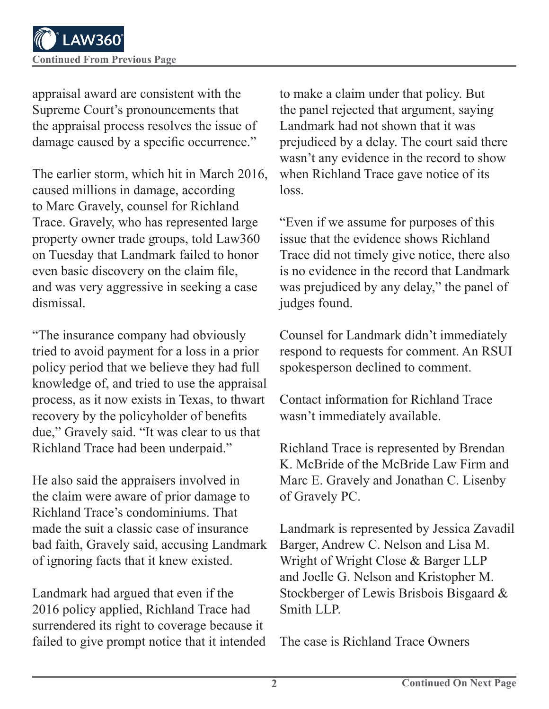appraisal award are consistent with the Supreme Court's pronouncements that the appraisal process resolves the issue of damage caused by a specific occurrence."

The earlier storm, which hit in March 2016, caused millions in damage, according to Marc Gravely, counsel for Richland Trace. Gravely, who has represented large property owner trade groups, told Law360 on Tuesday that Landmark failed to honor even basic discovery on the claim file, and was very aggressive in seeking a case dismissal.

"The insurance company had obviously tried to avoid payment for a loss in a prior policy period that we believe they had full knowledge of, and tried to use the appraisal process, as it now exists in Texas, to thwart recovery by the policyholder of benefits due," Gravely said. "It was clear to us that Richland Trace had been underpaid."

He also said the appraisers involved in the claim were aware of prior damage to Richland Trace's condominiums. That made the suit a classic case of insurance bad faith, Gravely said, accusing Landmark of ignoring facts that it knew existed.

Landmark had argued that even if the 2016 policy applied, Richland Trace had surrendered its right to coverage because it failed to give prompt notice that it intended to make a claim under that policy. But the panel rejected that argument, saying Landmark had not shown that it was prejudiced by a delay. The court said there wasn't any evidence in the record to show when Richland Trace gave notice of its loss.

"Even if we assume for purposes of this issue that the evidence shows Richland Trace did not timely give notice, there also is no evidence in the record that Landmark was prejudiced by any delay," the panel of judges found.

Counsel for Landmark didn't immediately respond to requests for comment. An RSUI spokesperson declined to comment.

Contact information for Richland Trace wasn't immediately available.

Richland Trace is represented by Brendan K. McBride of the McBride Law Firm and Marc E. Gravely and Jonathan C. Lisenby of Gravely PC.

Landmark is represented by Jessica Zavadil Barger, Andrew C. Nelson and Lisa M. Wright of Wright Close & Barger LLP and Joelle G. Nelson and Kristopher M. Stockberger of Lewis Brisbois Bisgaard & Smith LLP.

The case is Richland Trace Owners